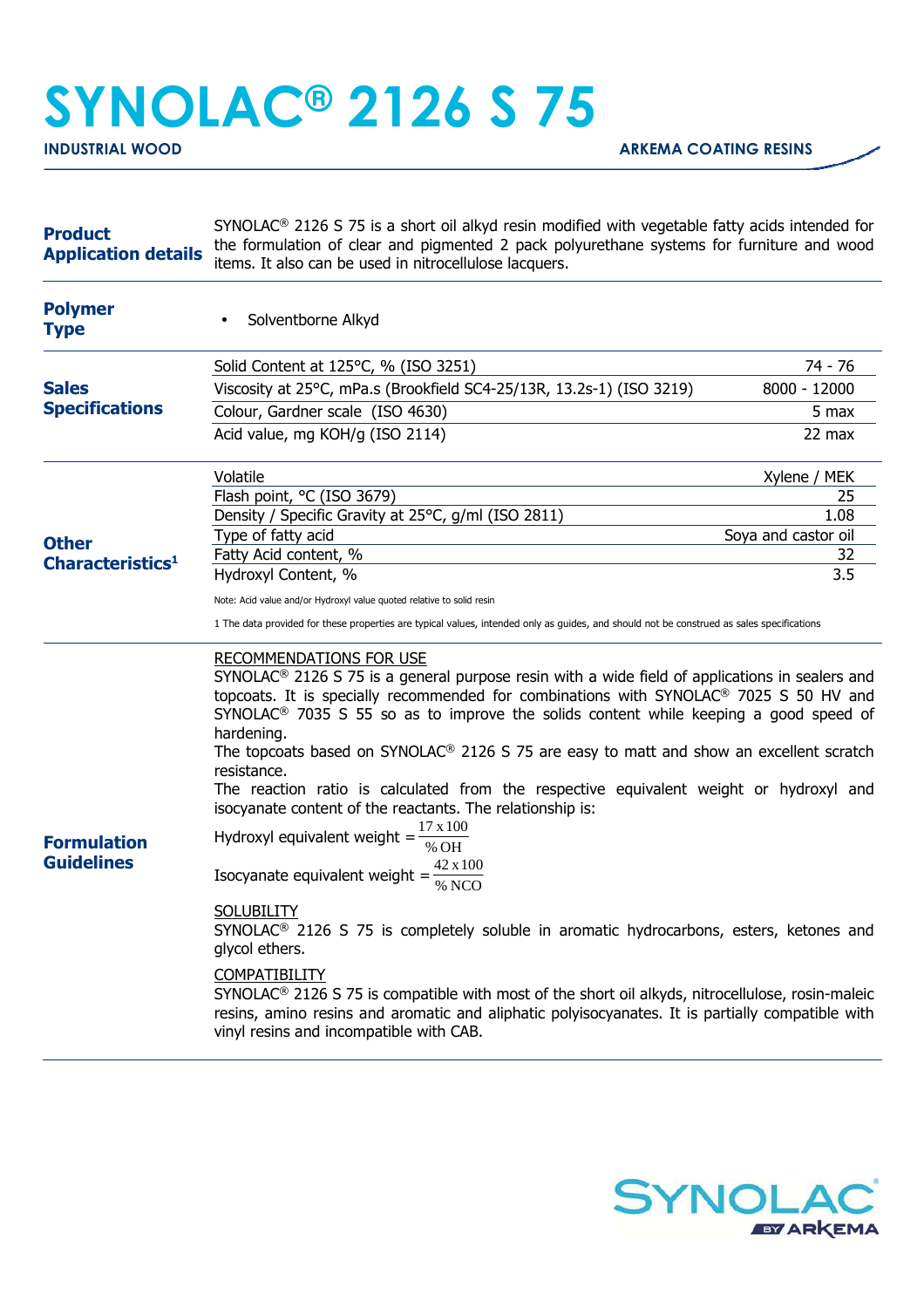## **SYNOLAC® 2126 S 75**

| <b>Product</b><br><b>Application details</b> | $SYNOLAC®$ 2126 S 75 is a short oil alkyd resin modified with vegetable fatty acids intended for<br>the formulation of clear and pigmented 2 pack polyurethane systems for furniture and wood<br>items. It also can be used in nitrocellulose lacquers.                                                                                                                                                                                                                                                                                                                                                                                                                     |                             |  |
|----------------------------------------------|-----------------------------------------------------------------------------------------------------------------------------------------------------------------------------------------------------------------------------------------------------------------------------------------------------------------------------------------------------------------------------------------------------------------------------------------------------------------------------------------------------------------------------------------------------------------------------------------------------------------------------------------------------------------------------|-----------------------------|--|
| <b>Polymer</b><br><b>Type</b>                | Solventborne Alkyd                                                                                                                                                                                                                                                                                                                                                                                                                                                                                                                                                                                                                                                          |                             |  |
| <b>Sales</b><br><b>Specifications</b>        | Solid Content at 125°C, % (ISO 3251)                                                                                                                                                                                                                                                                                                                                                                                                                                                                                                                                                                                                                                        | 74 - 76                     |  |
|                                              | Viscosity at 25°C, mPa.s (Brookfield SC4-25/13R, 13.2s-1) (ISO 3219)                                                                                                                                                                                                                                                                                                                                                                                                                                                                                                                                                                                                        | 8000 - 12000                |  |
|                                              | Colour, Gardner scale (ISO 4630)                                                                                                                                                                                                                                                                                                                                                                                                                                                                                                                                                                                                                                            | 5 max                       |  |
|                                              | Acid value, mg KOH/g (ISO 2114)                                                                                                                                                                                                                                                                                                                                                                                                                                                                                                                                                                                                                                             | 22 max                      |  |
| <b>Other</b><br>Characteristics <sup>1</sup> | Volatile                                                                                                                                                                                                                                                                                                                                                                                                                                                                                                                                                                                                                                                                    | Xylene / MEK                |  |
|                                              | Flash point, °C (ISO 3679)                                                                                                                                                                                                                                                                                                                                                                                                                                                                                                                                                                                                                                                  | 25                          |  |
|                                              | Density / Specific Gravity at 25°C, g/ml (ISO 2811)<br>Type of fatty acid                                                                                                                                                                                                                                                                                                                                                                                                                                                                                                                                                                                                   | 1.08<br>Soya and castor oil |  |
|                                              | Fatty Acid content, %                                                                                                                                                                                                                                                                                                                                                                                                                                                                                                                                                                                                                                                       | 32                          |  |
|                                              | Hydroxyl Content, %                                                                                                                                                                                                                                                                                                                                                                                                                                                                                                                                                                                                                                                         | 3.5                         |  |
|                                              | Note: Acid value and/or Hydroxyl value quoted relative to solid resin                                                                                                                                                                                                                                                                                                                                                                                                                                                                                                                                                                                                       |                             |  |
|                                              | 1 The data provided for these properties are typical values, intended only as guides, and should not be construed as sales specifications                                                                                                                                                                                                                                                                                                                                                                                                                                                                                                                                   |                             |  |
| <b>Formulation</b><br><b>Guidelines</b>      | RECOMMENDATIONS FOR USE<br>SYNOLAC <sup>®</sup> 2126 S 75 is a general purpose resin with a wide field of applications in sealers and<br>topcoats. It is specially recommended for combinations with SYNOLAC <sup>®</sup> 7025 S 50 HV and<br>$SYNOLAC®$ 7035 S 55 so as to improve the solids content while keeping a good speed of<br>hardening.<br>The topcoats based on SYNOLAC <sup>®</sup> 2126 S 75 are easy to matt and show an excellent scratch<br>resistance.<br>The reaction ratio is calculated from the respective equivalent weight or hydroxyl and<br>isocyanate content of the reactants. The relationship is:<br>17 x 100<br>Hydroxyl equivalent weight = |                             |  |
|                                              | $\overline{\%$ OH<br>42 x 100<br>Isocyanate equivalent weight = $\frac{1}{\%}$ NCO                                                                                                                                                                                                                                                                                                                                                                                                                                                                                                                                                                                          |                             |  |
|                                              | <b>SOLUBILITY</b><br>SYNOLAC <sup>®</sup> 2126 S 75 is completely soluble in aromatic hydrocarbons, esters, ketones and<br>glycol ethers.<br><b>COMPATIBILITY</b><br>$SYNOLAC®$ 2126 S 75 is compatible with most of the short oil alkyds, nitrocellulose, rosin-maleic<br>resins, amino resins and aromatic and aliphatic polyisocyanates. It is partially compatible with<br>vinyl resins and incompatible with CAB.                                                                                                                                                                                                                                                      |                             |  |